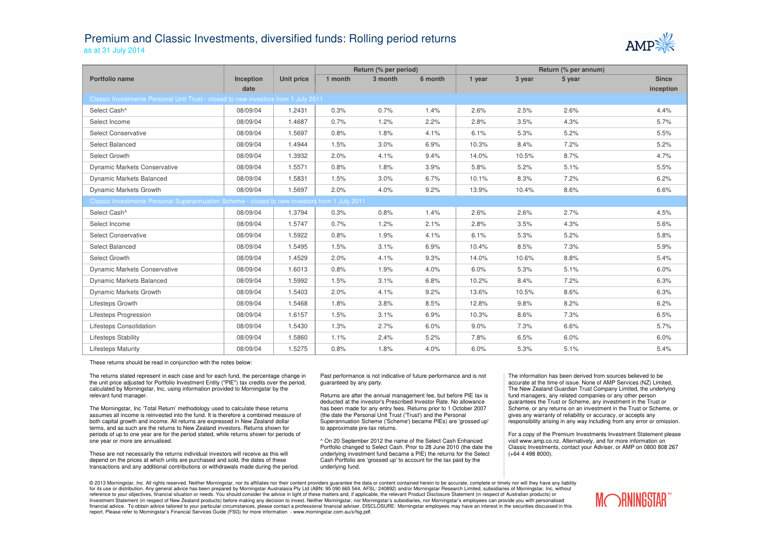## Premium and Classic Investments, diversified funds: Rolling period returnsas at 31 July 2014



|                                                                                               |                  |                   | Return (% per period) |         |         | Return (% per annum) |        |        |              |  |
|-----------------------------------------------------------------------------------------------|------------------|-------------------|-----------------------|---------|---------|----------------------|--------|--------|--------------|--|
| Portfolio name                                                                                | <b>Inception</b> | <b>Unit price</b> | 1 month               | 3 month | 6 month | 1 year               | 3 year | 5 year | <b>Since</b> |  |
|                                                                                               | date             |                   |                       |         |         |                      |        |        | inception    |  |
| Classic Investments Personal Unit Trust - closed to new investors from 1 July 2011            |                  |                   |                       |         |         |                      |        |        |              |  |
| Select Cash^                                                                                  | 08/09/04         | 1.2431            | 0.3%                  | 0.7%    | 1.4%    | 2.6%                 | 2.5%   | 2.6%   | 4.4%         |  |
| Select Income                                                                                 | 08/09/04         | 1.4687            | 0.7%                  | 1.2%    | 2.2%    | 2.8%                 | 3.5%   | 4.3%   | 5.7%         |  |
| <b>Select Conservative</b>                                                                    | 08/09/04         | 1.5697            | 0.8%                  | 1.8%    | 4.1%    | 6.1%                 | 5.3%   | 5.2%   | 5.5%         |  |
| Select Balanced                                                                               | 08/09/04         | 1.4944            | 1.5%                  | 3.0%    | 6.9%    | 10.3%                | 8.4%   | 7.2%   | 5.2%         |  |
| Select Growth                                                                                 | 08/09/04         | 1.3932            | 2.0%                  | 4.1%    | 9.4%    | 14.0%                | 10.5%  | 8.7%   | 4.7%         |  |
| <b>Dynamic Markets Conservative</b>                                                           | 08/09/04         | 1.5571            | 0.8%                  | 1.8%    | 3.9%    | 5.8%                 | 5.2%   | 5.1%   | 5.5%         |  |
| Dynamic Markets Balanced                                                                      | 08/09/04         | 1.5831            | 1.5%                  | 3.0%    | 6.7%    | 10.1%                | 8.3%   | 7.2%   | 6.2%         |  |
| Dynamic Markets Growth                                                                        | 08/09/04         | 1.5697            | 2.0%                  | 4.0%    | 9.2%    | 13.9%                | 10.4%  | 8.6%   | 6.6%         |  |
| Classic Investments Personal Superannuation Scheme - closed to new investors from 1 July 2011 |                  |                   |                       |         |         |                      |        |        |              |  |
| Select Cash^                                                                                  | 08/09/04         | 1.3794            | 0.3%                  | 0.8%    | 1.4%    | 2.6%                 | 2.6%   | 2.7%   | 4.5%         |  |
| Select Income                                                                                 | 08/09/04         | 1.5747            | 0.7%                  | 1.2%    | 2.1%    | 2.8%                 | 3.5%   | 4.3%   | 5.6%         |  |
| <b>Select Conservative</b>                                                                    | 08/09/04         | 1.5922            | 0.8%                  | 1.9%    | 4.1%    | 6.1%                 | 5.3%   | 5.2%   | 5.8%         |  |
| Select Balanced                                                                               | 08/09/04         | 1.5495            | 1.5%                  | 3.1%    | 6.9%    | 10.4%                | 8.5%   | 7.3%   | 5.9%         |  |
| Select Growth                                                                                 | 08/09/04         | 1.4529            | 2.0%                  | 4.1%    | 9.3%    | 14.0%                | 10.6%  | 8.8%   | 5.4%         |  |
| <b>Dynamic Markets Conservative</b>                                                           | 08/09/04         | 1.6013            | 0.8%                  | 1.9%    | 4.0%    | 6.0%                 | 5.3%   | 5.1%   | 6.0%         |  |
| <b>Dynamic Markets Balanced</b>                                                               | 08/09/04         | 1.5992            | 1.5%                  | 3.1%    | 6.8%    | 10.2%                | 8.4%   | 7.2%   | 6.3%         |  |
| Dynamic Markets Growth                                                                        | 08/09/04         | 1.5403            | 2.0%                  | 4.1%    | 9.2%    | 13.6%                | 10.5%  | 8.6%   | 6.3%         |  |
| Lifesteps Growth                                                                              | 08/09/04         | 1.5468            | 1.8%                  | 3.8%    | 8.5%    | 12.8%                | 9.8%   | 8.2%   | 6.2%         |  |
| Lifesteps Progression                                                                         | 08/09/04         | 1.6157            | 1.5%                  | 3.1%    | 6.9%    | 10.3%                | 8.6%   | 7.3%   | 6.5%         |  |
| Lifesteps Consolidation                                                                       | 08/09/04         | 1.5430            | 1.3%                  | 2.7%    | 6.0%    | 9.0%                 | 7.3%   | 6.6%   | 5.7%         |  |
| <b>Lifesteps Stability</b>                                                                    | 08/09/04         | 1.5860            | 1.1%                  | 2.4%    | 5.2%    | 7.8%                 | 6.5%   | 6.0%   | 6.0%         |  |
| <b>Lifesteps Maturity</b>                                                                     | 08/09/04         | 1.5275            | 0.8%                  | 1.8%    | 4.0%    | 6.0%                 | 5.3%   | 5.1%   | 5.4%         |  |

These returns should be read in conjunction with the notes below:

The returns stated represent in each case and for each fund, the percentage change in the unit price adjusted for Portfolio Investment Entity ("PIE") tax credits over the period, calculated by Morningstar, Inc, using information provided to Morningstar by the relevant fund manager.

The Morningstar, Inc 'Total Return' methodology used to calculate these returns assumes all income is reinvested into the fund. It is therefore a combined measure of both capital growth and income. All returns are expressed in New Zealand dollar terms, and as such are the returns to New Zealand investors. Returns shown for periods of up to one year are for the period stated, while returns shown for periods of one year or more are annualised.

These are not necessarily the returns individual investors will receive as this will depend on the prices at which units are purchased and sold, the dates of these transactions and any additional contributions or withdrawals made during the period. Past performance is not indicative of future performance and is not guaranteed by any party.

Returns are after the annual management fee, but before PIE tax is deducted at the investor's Prescribed Investor Rate. No allowance has been made for any entry fees. Returns prior to 1 October 2007 (the date the Personal Unit Trust ('Trust') and the Personal Superannuation Scheme ('Scheme') became PIEs) are 'grossed up' to approximate pre-tax returns.

^ On 20 September 2012 the name of the Select Cash Enhanced Portfolio changed to Select Cash. Prior to 28 June 2010 (the date the underlying investment fund became a PIE) the returns for the Select Cash Portfolio are 'grossed up' to account for the tax paid by the underlying fund.

The information has been derived from sources believed to be accurate at the time of issue. None of AMP Services (NZ) Limited, The New Zealand Guardian Trust Company Limited, the underlying fund managers, any related companies or any other person guarantees the Trust or Scheme, any investment in the Trust or Scheme, or any returns on an investment in the Trust or Scheme, or gives any warranty of reliability or accuracy, or accepts any responsibility arising in any way including from any error or omission.

For a copy of the Premium Investments Investment Statement please visit www.amp.co.nz. Alternatively, and for more information on Classic Investments, contact your Adviser, or AMP on 0800 808 267 (+64 4 498 8000).

@ 2013 Morningstar, Inc. All rights reserved. Neither Morningstar, nor its affiliates nor their content providers guarantee the data or content contained herein to be accurate, complete or timely nor will they have any lia for its use or distribution. Any general advice has been prepared by Morningstar Australasia Pty Ltd (ABN: 95 090 665 544, AFSL: 240892) and/or Morningstar Research Limited, subsidiaries of Morningstar, Inc, without reference to your objectives, financial situation or needs. You should consider the advice in light of these matters and, if applicable, the relevant Product Disclosure Statement (in respect of Australian products) or Investment Statement (in respect of New Zealand products) before making any decision to invest. Neither Morningstar, nor Morningstar's subsidiaries, nor Morningstar's employees can provide you with personalised<br>financial a report. Please refer to Morningstar's Financial Services Guide (FSG) for more information - www.morningstar.com.au/s/fsg.pdf.